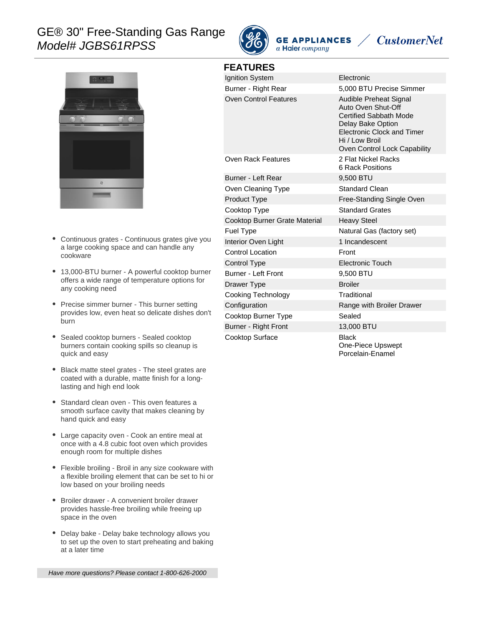# GE® 30" Free-Standing Gas Range Model# JGBS61RPSS



**FEATURES**

**GE APPLIANCES** a Haier company

# **CustomerNet**



- Continuous grates Continuous grates give you  $\bullet$ a large cooking space and can handle any cookware
- 13,000-BTU burner A powerful cooktop burner offers a wide range of temperature options for any cooking need
- Precise simmer burner This burner setting provides low, even heat so delicate dishes don't burn
- Sealed cooktop burners Sealed cooktop burners contain cooking spills so cleanup is quick and easy
- Black matte steel grates The steel grates are coated with a durable, matte finish for a longlasting and high end look
- Standard clean oven This oven features a smooth surface cavity that makes cleaning by hand quick and easy
- Large capacity oven Cook an entire meal at once with a 4.8 cubic foot oven which provides enough room for multiple dishes
- Flexible broiling Broil in any size cookware with a flexible broiling element that can be set to hi or low based on your broiling needs
- Broiler drawer A convenient broiler drawer provides hassle-free broiling while freeing up space in the oven
- $\bullet$ Delay bake - Delay bake technology allows you to set up the oven to start preheating and baking at a later time

Have more questions? Please contact 1-800-626-2000

| Ignition System               | Electronic                                                                                                                                                                                |
|-------------------------------|-------------------------------------------------------------------------------------------------------------------------------------------------------------------------------------------|
| Burner - Right Rear           | 5,000 BTU Precise Simmer                                                                                                                                                                  |
| <b>Oven Control Features</b>  | Audible Preheat Signal<br>Auto Oven Shut-Off<br><b>Certified Sabbath Mode</b><br>Delay Bake Option<br><b>Electronic Clock and Timer</b><br>Hi / Low Broil<br>Oven Control Lock Capability |
| Oven Rack Features            | 2 Flat Nickel Racks<br>6 Rack Positions                                                                                                                                                   |
| Burner - Left Rear            | 9,500 BTU                                                                                                                                                                                 |
| Oven Cleaning Type            | <b>Standard Clean</b>                                                                                                                                                                     |
| <b>Product Type</b>           | Free-Standing Single Oven                                                                                                                                                                 |
| Cooktop Type                  | <b>Standard Grates</b>                                                                                                                                                                    |
| Cooktop Burner Grate Material | <b>Heavy Steel</b>                                                                                                                                                                        |
| Fuel Type                     | Natural Gas (factory set)                                                                                                                                                                 |
| Interior Oven Light           | 1 Incandescent                                                                                                                                                                            |
| <b>Control Location</b>       | Front                                                                                                                                                                                     |
| Control Type                  | <b>Electronic Touch</b>                                                                                                                                                                   |
| Burner - Left Front           | 9,500 BTU                                                                                                                                                                                 |
| Drawer Type                   | <b>Broiler</b>                                                                                                                                                                            |
| Cooking Technology            | Traditional                                                                                                                                                                               |
| Configuration                 | Range with Broiler Drawer                                                                                                                                                                 |
| Cooktop Burner Type           | Sealed                                                                                                                                                                                    |
| Burner - Right Front          | 13,000 BTU                                                                                                                                                                                |
| Cooktop Surface               | <b>Black</b><br>One-Piece Upswept<br>Porcelain-Enamel                                                                                                                                     |